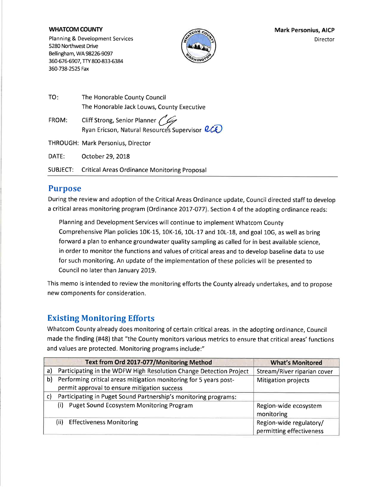#### **WHATCOM COUNTY**

Planning & Development Services 5280 Northwest Drive Bellingham, WA 98226-9097 360-676-6907, TTY 800-833-6384 360-738-2525 Fax



| TO:   | The Honorable County Council                                                          |
|-------|---------------------------------------------------------------------------------------|
|       | The Honorable Jack Louws, County Executive                                            |
| FROM: | Cliff Strong, Senior Planner<br>Ryan Ericson, Natural Resources Supervisor <i>RCE</i> |

THROUGH: Mark Personius, Director

DATE: October 29, 2018

**SUBJECT: Critical Areas Ordinance Monitoring Proposal** 

### **Purpose**

During the review and adoption of the Critical Areas Ordinance update, Council directed staff to develop a critical areas monitoring program (Ordinance 2017-077). Section 4 of the adopting ordinance reads:

Planning and Development Services will continue to implement Whatcom County Comprehensive Plan policies 10K-15, 10K-16, 10L-17 and 10L-18, and goal 10G, as well as bring forward a plan to enhance groundwater quality sampling as called for in best available science, in order to monitor the functions and values of critical areas and to develop baseline data to use for such monitoring. An update of the implementation of these policies will be presented to Council no later than January 2019.

This memo is intended to review the monitoring efforts the County already undertakes, and to propose new components for consideration.

# **Existing Monitoring Efforts**

Whatcom County already does monitoring of certain critical areas. In the adopting ordinance, Council made the finding (#48) that "the County monitors various metrics to ensure that critical areas' functions and values are protected. Monitoring programs include:"

|    | Text from Ord 2017-077/Monitoring Method                           | <b>What's Monitored</b>                             |
|----|--------------------------------------------------------------------|-----------------------------------------------------|
| a) | Participating in the WDFW High Resolution Change Detection Project | Stream/River riparian cover                         |
| b) | Performing critical areas mitigation monitoring for 5 years post-  | <b>Mitigation projects</b>                          |
|    | permit approval to ensure mitigation success                       |                                                     |
| C) | Participating in Puget Sound Partnership's monitoring programs:    |                                                     |
|    | <b>Puget Sound Ecosystem Monitoring Program</b><br>(i)             | Region-wide ecosystem<br>monitoring                 |
|    | (ii)<br><b>Effectiveness Monitoring</b>                            | Region-wide regulatory/<br>permitting effectiveness |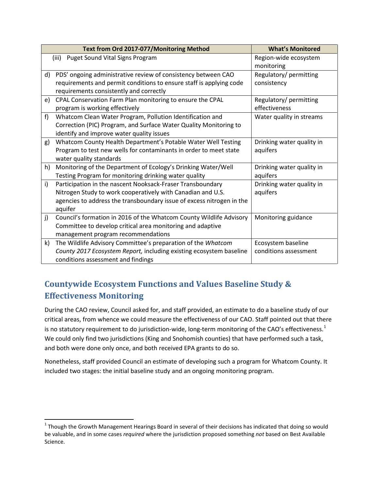|                                          | Text from Ord 2017-077/Monitoring Method                              | <b>What's Monitored</b>   |
|------------------------------------------|-----------------------------------------------------------------------|---------------------------|
| Puget Sound Vital Signs Program<br>(iii) |                                                                       | Region-wide ecosystem     |
|                                          |                                                                       | monitoring                |
| d)                                       | PDS' ongoing administrative review of consistency between CAO         | Regulatory/ permitting    |
|                                          | requirements and permit conditions to ensure staff is applying code   | consistency               |
|                                          | requirements consistently and correctly                               |                           |
| e)                                       | CPAL Conservation Farm Plan monitoring to ensure the CPAL             | Regulatory/ permitting    |
|                                          | program is working effectively                                        | effectiveness             |
| f                                        | Whatcom Clean Water Program, Pollution Identification and             | Water quality in streams  |
|                                          | Correction (PIC) Program, and Surface Water Quality Monitoring to     |                           |
|                                          | identify and improve water quality issues                             |                           |
| g)                                       | Whatcom County Health Department's Potable Water Well Testing         | Drinking water quality in |
|                                          | Program to test new wells for contaminants in order to meet state     | aquifers                  |
|                                          | water quality standards                                               |                           |
| h)                                       | Monitoring of the Department of Ecology's Drinking Water/Well         | Drinking water quality in |
|                                          | Testing Program for monitoring drinking water quality                 | aquifers                  |
| i)                                       | Participation in the nascent Nooksack-Fraser Transboundary            | Drinking water quality in |
|                                          | Nitrogen Study to work cooperatively with Canadian and U.S.           | aquifers                  |
|                                          | agencies to address the transboundary issue of excess nitrogen in the |                           |
|                                          | aquifer                                                               |                           |
| j)                                       | Council's formation in 2016 of the Whatcom County Wildlife Advisory   | Monitoring guidance       |
|                                          | Committee to develop critical area monitoring and adaptive            |                           |
|                                          | management program recommendations                                    |                           |
| k)                                       | The Wildlife Advisory Committee's preparation of the Whatcom          | Ecosystem baseline        |
|                                          | County 2017 Ecosystem Report, including existing ecosystem baseline   | conditions assessment     |
|                                          | conditions assessment and findings                                    |                           |

# **Countywide Ecosystem Functions and Values Baseline Study & Effectiveness Monitoring**

During the CAO review, Council asked for, and staff provided, an estimate to do a baseline study of our critical areas, from whence we could measure the effectiveness of our CAO. Staff pointed out that there is no statutory requirement to do jurisdiction-wide, long-term monitoring of the CAO's effectiveness.<sup>[1](#page-1-0)</sup> We could only find two jurisdictions (King and Snohomish counties) that have performed such a task, and both were done only once, and both received EPA grants to do so.

Nonetheless, staff provided Council an estimate of developing such a program for Whatcom County. It included two stages: the initial baseline study and an ongoing monitoring program.

l

<span id="page-1-0"></span> $1$  Though the Growth Management Hearings Board in several of their decisions has indicated that doing so would be valuable, and in some cases *required* where the jurisdiction proposed something *not* based on Best Available Science.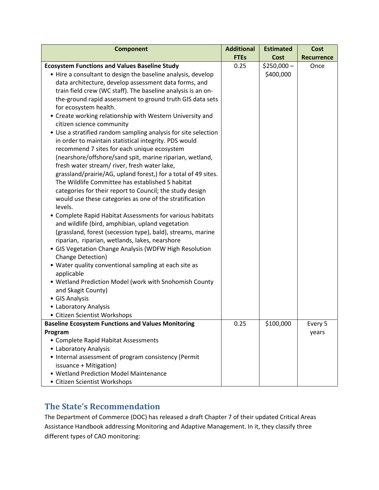| <b>FTEs</b><br>Cost<br><b>Recurrence</b><br><b>Ecosystem Functions and Values Baseline Study</b><br>0.25<br>$$250,000-$<br>Once<br>\$400,000<br>• Hire a consultant to design the baseline analysis, develop<br>data architecture, develop assessment data forms, and<br>train field crew (WC staff). The baseline analysis is an on-<br>the-ground rapid assessment to ground truth GIS data sets<br>for ecosystem health. |
|-----------------------------------------------------------------------------------------------------------------------------------------------------------------------------------------------------------------------------------------------------------------------------------------------------------------------------------------------------------------------------------------------------------------------------|
|                                                                                                                                                                                                                                                                                                                                                                                                                             |
|                                                                                                                                                                                                                                                                                                                                                                                                                             |
|                                                                                                                                                                                                                                                                                                                                                                                                                             |
|                                                                                                                                                                                                                                                                                                                                                                                                                             |
|                                                                                                                                                                                                                                                                                                                                                                                                                             |
|                                                                                                                                                                                                                                                                                                                                                                                                                             |
|                                                                                                                                                                                                                                                                                                                                                                                                                             |
| • Create working relationship with Western University and<br>citizen science community                                                                                                                                                                                                                                                                                                                                      |
| • Use a stratified random sampling analysis for site selection                                                                                                                                                                                                                                                                                                                                                              |
| in order to maintain statistical integrity. PDS would                                                                                                                                                                                                                                                                                                                                                                       |
| recommend 7 sites for each unique ecosystem                                                                                                                                                                                                                                                                                                                                                                                 |
| (nearshore/offshore/sand spit, marine riparian, wetland,                                                                                                                                                                                                                                                                                                                                                                    |
| fresh water stream/river, fresh water lake,                                                                                                                                                                                                                                                                                                                                                                                 |
| grassland/prairie/AG, upland forest,) for a total of 49 sites.                                                                                                                                                                                                                                                                                                                                                              |
| The Wildlife Committee has established 5 habitat                                                                                                                                                                                                                                                                                                                                                                            |
| categories for their report to Council; the study design                                                                                                                                                                                                                                                                                                                                                                    |
| would use these categories as one of the stratification                                                                                                                                                                                                                                                                                                                                                                     |
| levels.                                                                                                                                                                                                                                                                                                                                                                                                                     |
| • Complete Rapid Habitat Assessments for various habitats                                                                                                                                                                                                                                                                                                                                                                   |
| and wildlife (bird, amphibian, upland vegetation                                                                                                                                                                                                                                                                                                                                                                            |
| (grassland, forest (secession type), bald), streams, marine                                                                                                                                                                                                                                                                                                                                                                 |
| riparian, riparian, wetlands, lakes, nearshore                                                                                                                                                                                                                                                                                                                                                                              |
| • GIS Vegetation Change Analysis (WDFW High Resolution                                                                                                                                                                                                                                                                                                                                                                      |
| Change Detection)                                                                                                                                                                                                                                                                                                                                                                                                           |
| • Water quality conventional sampling at each site as                                                                                                                                                                                                                                                                                                                                                                       |
| applicable                                                                                                                                                                                                                                                                                                                                                                                                                  |
| • Wetland Prediction Model (work with Snohomish County                                                                                                                                                                                                                                                                                                                                                                      |
| and Skagit County)                                                                                                                                                                                                                                                                                                                                                                                                          |
| • GIS Analysis                                                                                                                                                                                                                                                                                                                                                                                                              |
| • Laboratory Analysis                                                                                                                                                                                                                                                                                                                                                                                                       |
| • Citizen Scientist Workshops                                                                                                                                                                                                                                                                                                                                                                                               |
| <b>Baseline Ecosystem Functions and Values Monitoring</b><br>0.25<br>\$100,000<br>Every 5                                                                                                                                                                                                                                                                                                                                   |
| Program<br>years                                                                                                                                                                                                                                                                                                                                                                                                            |
| • Complete Rapid Habitat Assessments                                                                                                                                                                                                                                                                                                                                                                                        |
| • Laboratory Analysis<br>• Internal assessment of program consistency (Permit                                                                                                                                                                                                                                                                                                                                               |
| issuance + Mitigation)                                                                                                                                                                                                                                                                                                                                                                                                      |
| • Wetland Prediction Model Maintenance                                                                                                                                                                                                                                                                                                                                                                                      |
| • Citizen Scientist Workshops                                                                                                                                                                                                                                                                                                                                                                                               |

# **The State's Recommendation**

The Department of Commerce (DOC) has released a draft Chapter 7 of their updated Critical Areas Assistance Handbook addressing Monitoring and Adaptive Management. In it, they classify three different types of CAO monitoring: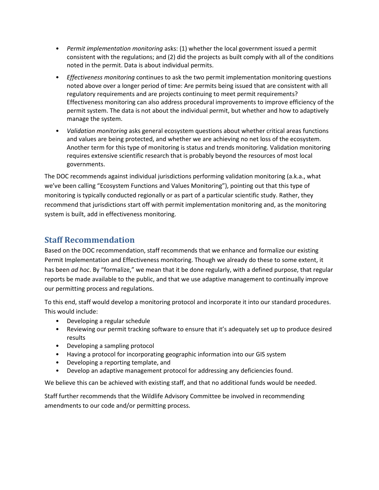- *Permit implementation monitoring* asks: (1) whether the local government issued a permit consistent with the regulations; and (2) did the projects as built comply with all of the conditions noted in the permit. Data is about individual permits.
- *Effectiveness monitoring* continues to ask the two permit implementation monitoring questions noted above over a longer period of time: Are permits being issued that are consistent with all regulatory requirements and are projects continuing to meet permit requirements? Effectiveness monitoring can also address procedural improvements to improve efficiency of the permit system. The data is not about the individual permit, but whether and how to adaptively manage the system.
- *Validation monitoring* asks general ecosystem questions about whether critical areas functions and values are being protected, and whether we are achieving no net loss of the ecosystem. Another term for this type of monitoring is status and trends monitoring. Validation monitoring requires extensive scientific research that is probably beyond the resources of most local governments.

The DOC recommends against individual jurisdictions performing validation monitoring (a.k.a., what we've been calling "Ecosystem Functions and Values Monitoring"), pointing out that this type of monitoring is typically conducted regionally or as part of a particular scientific study. Rather, they recommend that jurisdictions start off with permit implementation monitoring and, as the monitoring system is built, add in effectiveness monitoring.

# **Staff Recommendation**

Based on the DOC recommendation, staff recommends that we enhance and formalize our existing Permit Implementation and Effectiveness monitoring. Though we already do these to some extent, it has been *ad hoc*. By "formalize," we mean that it be done regularly, with a defined purpose, that regular reports be made available to the public, and that we use adaptive management to continually improve our permitting process and regulations.

To this end, staff would develop a monitoring protocol and incorporate it into our standard procedures. This would include:

- Developing a regular schedule
- Reviewing our permit tracking software to ensure that it's adequately set up to produce desired results
- Developing a sampling protocol
- Having a protocol for incorporating geographic information into our GIS system
- Developing a reporting template, and
- Develop an adaptive management protocol for addressing any deficiencies found.

We believe this can be achieved with existing staff, and that no additional funds would be needed.

Staff further recommends that the Wildlife Advisory Committee be involved in recommending amendments to our code and/or permitting process.